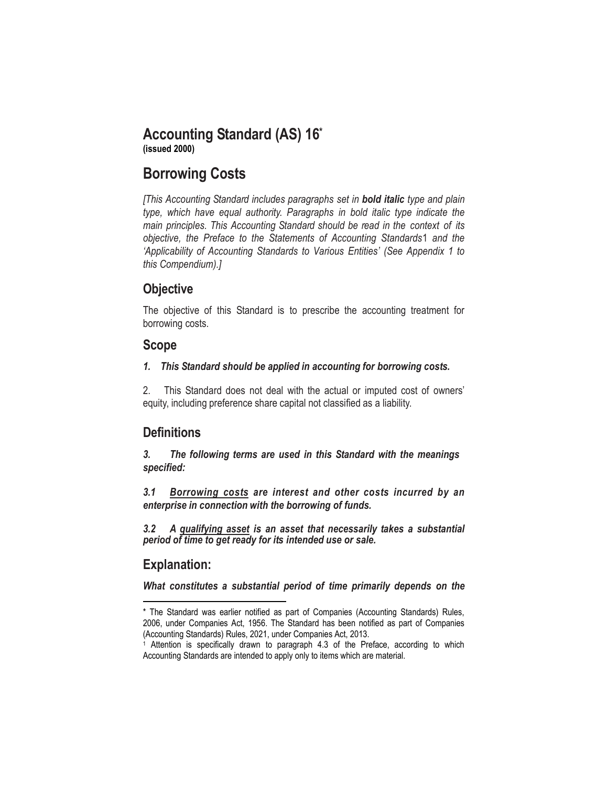### **Accounting Standard (AS) 16\* (issued 2000)**

# **Borrowing Costs**

*[This Accounting Standard includes paragraphs set in bold italic type and plain type, which have equal authority. Paragraphs in bold italic type indicate the main principles. This Accounting Standard should be read in the context of its objective, the Preface to the Statements of Accounting Standards*1 *and the 'Applicability of Accounting Standards to Various Entities' (See Appendix 1 to this Compendium).]*

# **Objective**

The objective of this Standard is to prescribe the accounting treatment for borrowing costs.

## **Scope**

*1. This Standard should be applied in accounting for borrowing costs.*

2. This Standard does not deal with the actual or imputed cost of owners' equity, including preference share capital not classified as a liability.

# **Definitions**

*3. The following terms are used in this Standard with the meanings specified:*

*3.1 Borrowing costs are interest and other costs incurred by an enterprise in connection with the borrowing of funds.*

*3.2 A qualifying asset is an asset that necessarily takes a substantial period of time to get ready for its intended use or sale.*

# **Explanation:**

 $\overline{\phantom{a}}$ 

*What constitutes a substantial period of time primarily depends on the*

<sup>\*</sup> The Standard was earlier notified as part of Companies (Accounting Standards) Rules, 2006, under Companies Act, 1956. The Standard has been notified as part of Companies (Accounting Standards) Rules, 2021, under Companies Act, 2013.

<sup>1</sup> Attention is specifically drawn to paragraph 4.3 of the Preface, according to which Accounting Standards are intended to apply only to items which are material.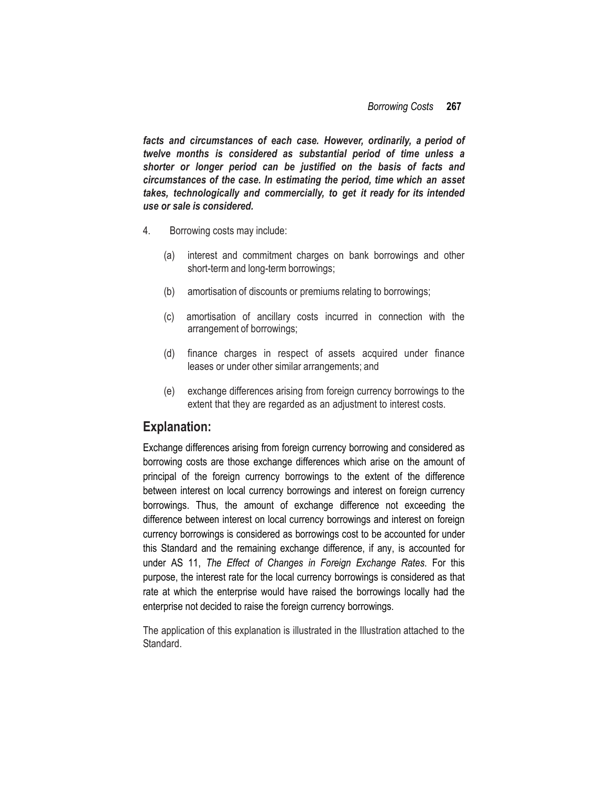*facts and circumstances of each case. However, ordinarily, a period of twelve months is considered as substantial period of time unless a shorter or longer period can be justified on the basis of facts and circumstances of the case. In estimating the period, time which an asset takes, technologically and commercially, to get it ready for its intended use or sale is considered.*

- 4. Borrowing costs may include:
	- (a) interest and commitment charges on bank borrowings and other short-term and long-term borrowings;
	- (b) amortisation of discounts or premiums relating to borrowings;
	- (c) amortisation of ancillary costs incurred in connection with the arrangement of borrowings;
	- (d) finance charges in respect of assets acquired under finance leases or under other similar arrangements; and
	- (e) exchange differences arising from foreign currency borrowings to the extent that they are regarded as an adjustment to interest costs.

## **Explanation:**

Exchange differences arising from foreign currency borrowing and considered as borrowing costs are those exchange differences which arise on the amount of principal of the foreign currency borrowings to the extent of the difference between interest on local currency borrowings and interest on foreign currency borrowings. Thus, the amount of exchange difference not exceeding the difference between interest on local currency borrowings and interest on foreign currency borrowings is considered as borrowings cost to be accounted for under this Standard and the remaining exchange difference, if any, is accounted for under AS 11, *The Effect of Changes in Foreign Exchange Rates*. For this purpose, the interest rate for the local currency borrowings is considered as that rate at which the enterprise would have raised the borrowings locally had the enterprise not decided to raise the foreign currency borrowings.

The application of this explanation is illustrated in the Illustration attached to the Standard.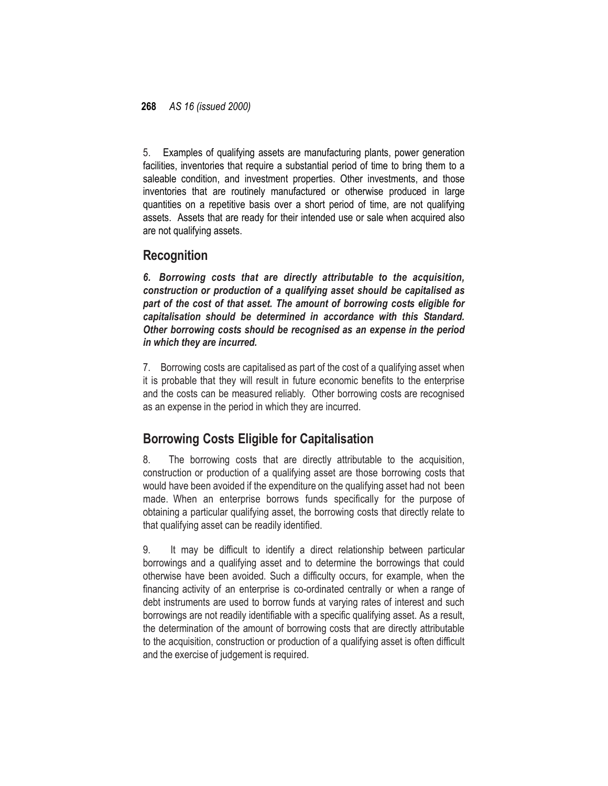### **268** *AS 16 (issued 2000)*

5. Examples of qualifying assets are manufacturing plants, power generation facilities, inventories that require a substantial period of time to bring them to a saleable condition, and investment properties. Other investments, and those inventories that are routinely manufactured or otherwise produced in large quantities on a repetitive basis over a short period of time, are not qualifying assets. Assets that are ready for their intended use or sale when acquired also are not qualifying assets.

## **Recognition**

*6. Borrowing costs that are directly attributable to the acquisition, construction or production of a qualifying asset should be capitalised as part of the cost of that asset. The amount of borrowing costs eligible for capitalisation should be determined in accordance with this Standard. Other borrowing costs should be recognised as an expense in the period in which they are incurred.*

7. Borrowing costs are capitalised as part of the cost of a qualifying asset when it is probable that they will result in future economic benefits to the enterprise and the costs can be measured reliably. Other borrowing costs are recognised as an expense in the period in which they are incurred.

# **Borrowing Costs Eligible for Capitalisation**

8. The borrowing costs that are directly attributable to the acquisition, construction or production of a qualifying asset are those borrowing costs that would have been avoided if the expenditure on the qualifying asset had not been made. When an enterprise borrows funds specifically for the purpose of obtaining a particular qualifying asset, the borrowing costs that directly relate to that qualifying asset can be readily identified.

9. It may be difficult to identify a direct relationship between particular borrowings and a qualifying asset and to determine the borrowings that could otherwise have been avoided. Such a difficulty occurs, for example, when the financing activity of an enterprise is co-ordinated centrally or when a range of debt instruments are used to borrow funds at varying rates of interest and such borrowings are not readily identifiable with a specific qualifying asset. As a result, the determination of the amount of borrowing costs that are directly attributable to the acquisition, construction or production of a qualifying asset is often difficult and the exercise of judgement is required.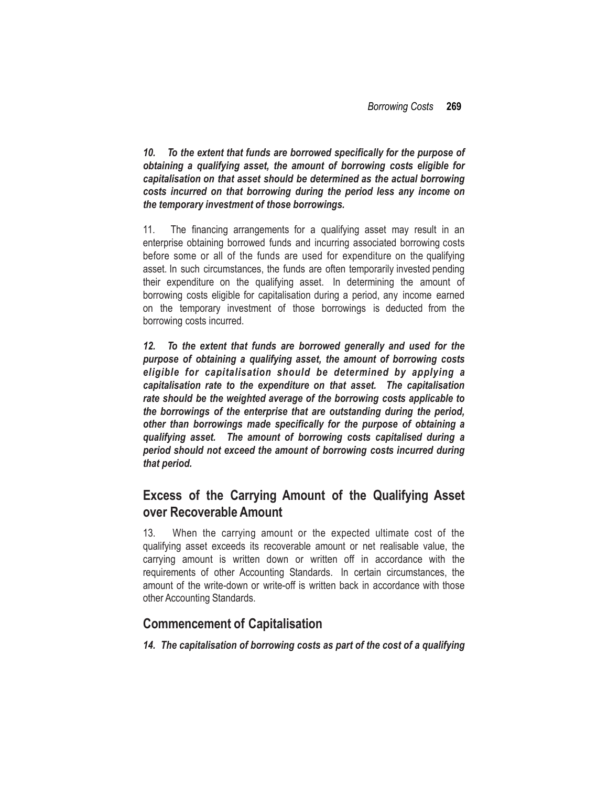*10. To the extent that funds are borrowed specifically for the purpose of obtaining a qualifying asset, the amount of borrowing costs eligible for capitalisation on that asset should be determined as the actual borrowing costs incurred on that borrowing during the period less any income on the temporary investment of those borrowings.*

11. The financing arrangements for a qualifying asset may result in an enterprise obtaining borrowed funds and incurring associated borrowing costs before some or all of the funds are used for expenditure on the qualifying asset. In such circumstances, the funds are often temporarily invested pending their expenditure on the qualifying asset. In determining the amount of borrowing costs eligible for capitalisation during a period, any income earned on the temporary investment of those borrowings is deducted from the borrowing costs incurred.

*12. To the extent that funds are borrowed generally and used for the purpose of obtaining a qualifying asset, the amount of borrowing costs eligible for capitalisation should be determined by applying a capitalisation rate to the expenditure on that asset. The capitalisation rate should be the weighted average of the borrowing costs applicable to the borrowings of the enterprise that are outstanding during the period, other than borrowings made specifically for the purpose of obtaining a qualifying asset. The amount of borrowing costs capitalised during a period should not exceed the amount of borrowing costs incurred during that period.*

# **Excess of the Carrying Amount of the Qualifying Asset over Recoverable Amount**

13. When the carrying amount or the expected ultimate cost of the qualifying asset exceeds its recoverable amount or net realisable value, the carrying amount is written down or written off in accordance with the requirements of other Accounting Standards. In certain circumstances, the amount of the write-down or write-off is written back in accordance with those other Accounting Standards.

## **Commencement of Capitalisation**

*14. The capitalisation of borrowing costs as part of the cost of a qualifying*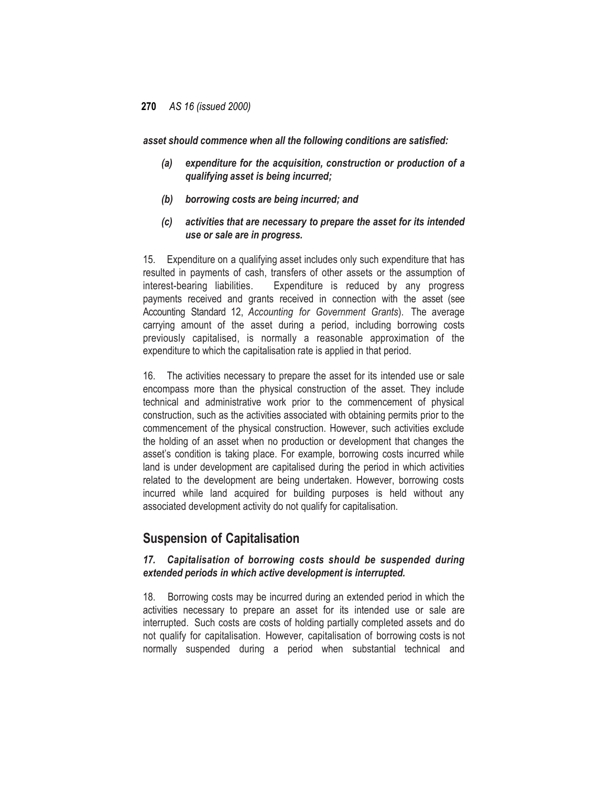#### **270** *AS 16 (issued 2000)*

*asset should commence when all the following conditions are satisfied:*

- *(a) expenditure for the acquisition, construction or production of a qualifying asset is being incurred;*
- *(b) borrowing costs are being incurred; and*
- *(c) activities that are necessary to prepare the asset for its intended use or sale are in progress.*

15. Expenditure on a qualifying asset includes only such expenditure that has resulted in payments of cash, transfers of other assets or the assumption of interest-bearing liabilities. Expenditure is reduced by any progress payments received and grants received in connection with the asset (see Accounting Standard 12, *Accounting for Government Grants*). The average carrying amount of the asset during a period, including borrowing costs previously capitalised, is normally a reasonable approximation of the expenditure to which the capitalisation rate is applied in that period.

16. The activities necessary to prepare the asset for its intended use or sale encompass more than the physical construction of the asset. They include technical and administrative work prior to the commencement of physical construction, such as the activities associated with obtaining permits prior to the commencement of the physical construction. However, such activities exclude the holding of an asset when no production or development that changes the asset's condition is taking place. For example, borrowing costs incurred while land is under development are capitalised during the period in which activities related to the development are being undertaken. However, borrowing costs incurred while land acquired for building purposes is held without any associated development activity do not qualify for capitalisation.

## **Suspension of Capitalisation**

### *17. Capitalisation of borrowing costs should be suspended during extended periods in which active development is interrupted.*

18. Borrowing costs may be incurred during an extended period in which the activities necessary to prepare an asset for its intended use or sale are interrupted. Such costs are costs of holding partially completed assets and do not qualify for capitalisation. However, capitalisation of borrowing costs is not normally suspended during a period when substantial technical and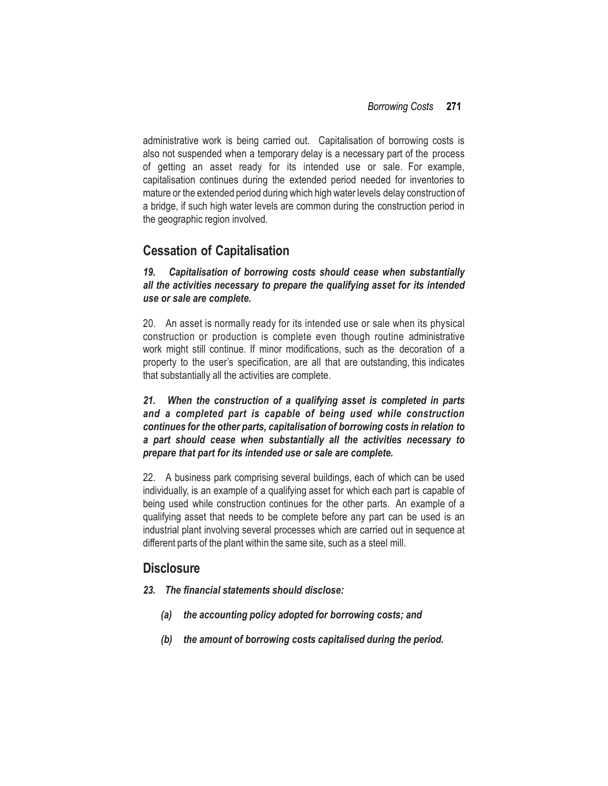administrative work is being carried out. Capitalisation of borrowing costs is also not suspended when a temporary delay is a necessary part of the process of getting an asset ready for its intended use or sale. For example, capitalisation continues during the extended period needed for inventories to mature or the extended period during which high water levels delay construction of a bridge, if such high water levels are common during the construction period in the geographic region involved.

## **Cessation of Capitalisation**

### *19. Capitalisation of borrowing costs should cease when substantially all the activities necessary to prepare the qualifying asset for its intended use or sale are complete.*

20. An asset is normally ready for its intended use or sale when its physical construction or production is complete even though routine administrative work might still continue. If minor modifications, such as the decoration of a property to the user's specification, are all that are outstanding, this indicates that substantially all the activities are complete.

*21. When the construction of a qualifying asset is completed in parts and a completed part is capable of being used while construction continues for the other parts, capitalisation of borrowing costs in relation to a part should cease when substantially all the activities necessary to prepare that part for its intended use or sale are complete.*

22. A business park comprising several buildings, each of which can be used individually, is an example of a qualifying asset for which each part is capable of being used while construction continues for the other parts. An example of a qualifying asset that needs to be complete before any part can be used is an industrial plant involving several processes which are carried out in sequence at different parts of the plant within the same site, such as a steel mill.

## **Disclosure**

*23. The financial statements should disclose:*

- *(a) the accounting policy adopted for borrowing costs; and*
- *(b) the amount of borrowing costs capitalised during the period.*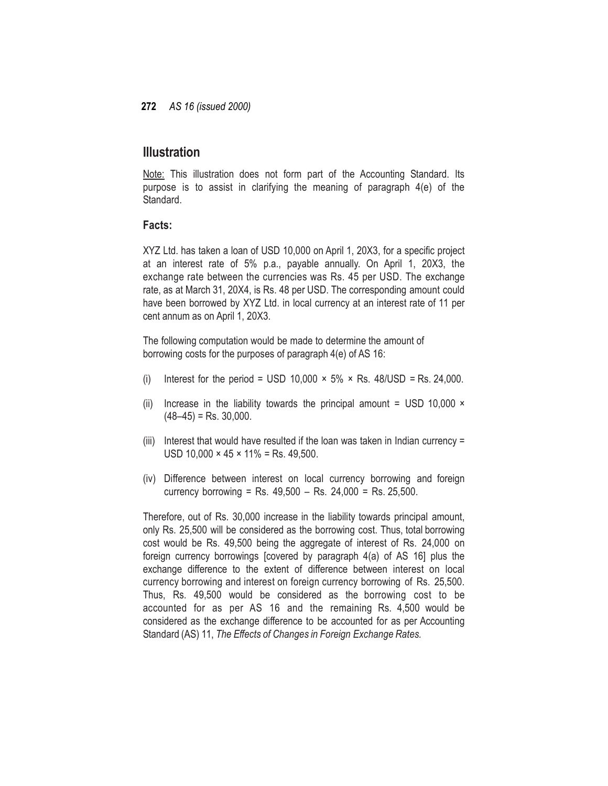#### **272** *AS 16 (issued 2000)*

## **Illustration**

Note: This illustration does not form part of the Accounting Standard. Its purpose is to assist in clarifying the meaning of paragraph 4(e) of the Standard.

### **Facts:**

XYZ Ltd. has taken a loan of USD 10,000 on April 1, 20X3, for a specific project at an interest rate of 5% p.a., payable annually. On April 1, 20X3, the exchange rate between the currencies was Rs. 45 per USD. The exchange rate, as at March 31, 20X4, is Rs. 48 per USD. The corresponding amount could have been borrowed by XYZ Ltd. in local currency at an interest rate of 11 per cent annum as on April 1, 20X3.

The following computation would be made to determine the amount of borrowing costs for the purposes of paragraph 4(e) of AS 16:

- (i) Interest for the period = USD 10,000  $\times$  5%  $\times$  Rs. 48/USD = Rs. 24,000.
- (ii) Increase in the liability towards the principal amount = USD 10,000  $\times$  $(48-45)$  = Rs. 30,000.
- (iii) Interest that would have resulted if the loan was taken in Indian currency = USD 10,000  $\times$  45  $\times$  11% = Rs, 49,500.
- (iv) Difference between interest on local currency borrowing and foreign currency borrowing = Rs. 49,500 – Rs. 24,000 = Rs. 25,500.

Therefore, out of Rs. 30,000 increase in the liability towards principal amount, only Rs. 25,500 will be considered as the borrowing cost. Thus, total borrowing cost would be Rs. 49,500 being the aggregate of interest of Rs. 24,000 on foreign currency borrowings [covered by paragraph 4(a) of AS 16] plus the exchange difference to the extent of difference between interest on local currency borrowing and interest on foreign currency borrowing of Rs. 25,500. Thus, Rs. 49,500 would be considered as the borrowing cost to be accounted for as per AS 16 and the remaining Rs. 4,500 would be considered as the exchange difference to be accounted for as per Accounting Standard (AS) 11, *The Effects of Changes in Foreign Exchange Rates.*